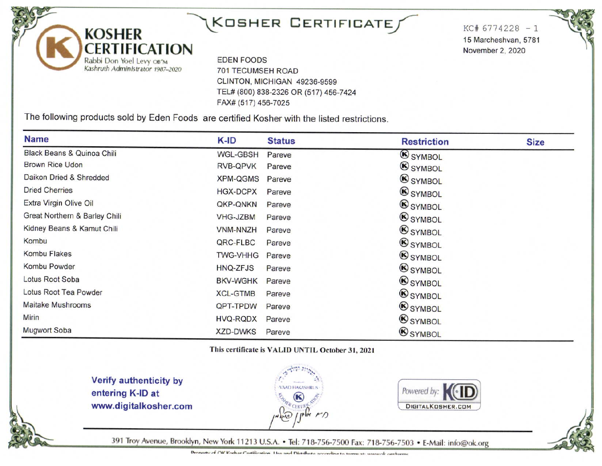# KOSHER CERTIFICATE

 $KC#6774228 - 1$ 15 Marcheshvan, 5781 November 2, 2020

**EDEN FOODS** 701 TECUMSEH ROAD CLINTON, MICHIGAN 49236-9599 TEL# (800) 838-2326 OR (517) 456-7424 FAX# (517) 456-7025

The following products sold by Eden Foods are certified Kosher with the listed restrictions.

| <b>Name</b>                   | K-ID            | <b>Status</b> | <b>Restriction</b> | <b>Size</b> |
|-------------------------------|-----------------|---------------|--------------------|-------------|
| Black Beans & Quinoa Chili    | <b>WGL-GBSH</b> | Pareve        | <b>B</b> SYMBOL    |             |
| Brown Rice Udon               | <b>RVB-QPVK</b> | Pareve        | <b>SYMBOL</b>      |             |
| Daikon Dried & Shredded       | <b>XPM-QGMS</b> | Pareve        | <b>SYMBOL</b>      |             |
| <b>Dried Cherries</b>         | <b>HGX-DCPX</b> | Pareve        | <b>SYMBOL</b>      |             |
| Extra Virgin Olive Oil        | QKP-QNKN        | Pareve        | <b>B</b> SYMBOL    |             |
| Great Northern & Barley Chili | <b>VHG-JZBM</b> | Pareve        | <b>B</b> SYMBOL    |             |
| Kidney Beans & Kamut Chili    | <b>VNM-NNZH</b> | Pareve        | <b>SYMBOL</b>      |             |
| Kombu                         | QRC-FLBC        | Pareve        | <b>B</b> SYMBOL    |             |
| Kombu Flakes                  | <b>TWG-VHHG</b> | Pareve        | <b>SYMBOL</b>      |             |
| Kombu Powder                  | <b>HNQ-ZFJS</b> | Pareve        | <b>SYMBOL</b>      |             |
| Lotus Root Soba               | <b>BKV-WGHK</b> | Pareve        | <b>SYMBOL</b>      |             |
| Lotus Root Tea Powder         | <b>XCL-GTMB</b> | Pareve        | <b>B</b> SYMBOL    |             |
| <b>Maitake Mushrooms</b>      | QPT-TPDW        | Pareve        | <b>SYMBOL</b>      |             |
| Mirin                         | <b>HVQ-RQDX</b> | Pareve        | <b>SYMBOL</b>      |             |
| <b>Mugwort Soba</b>           | <b>XZD-DWKS</b> | Pareve        | <b>SYMBOL</b>      |             |

This certificate is VALID UNTIL October 31, 2021

Verify authenticity by entering K-ID at www.digitalkosher.com

**KOSHER** 

Rabbi Don Yoel Levy OB"M

Kashruth Administrator 1987-2020

**ERTIFICATION** 





391 Troy Avenue, Brooklyn, New York 11213 U.S.A. . Tel: 718-756-7500 Fax: 718-756-7503 . E-Mail: info@ok.org

Proporty of CIK Koshor Cortification. Hen and Distribute according to terms at www.ok.canftorms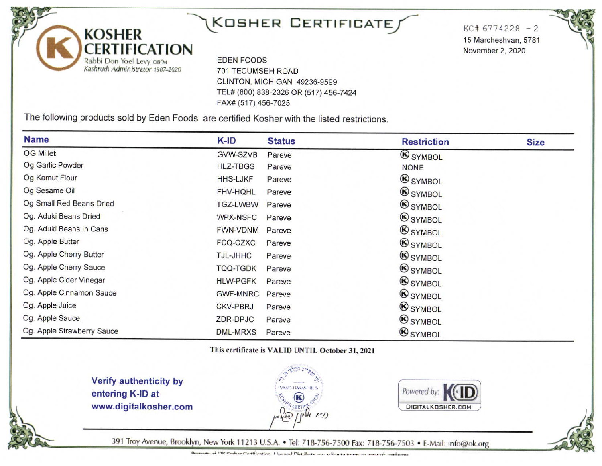## KOSHER CERTIFICATE

 $KC# 6774228 - 2$ 15 Marcheshvan, 5781 November 2, 2020

**EDEN FOODS 701 TECUMSEH ROAD** CLINTON, MICHIGAN 49236-9599 TEL# (800) 838-2326 OR (517) 456-7424 FAX# (517) 456-7025

The following products sold by Eden Foods are certified Kosher with the listed restrictions.

| <b>Name</b>                | K-ID            | <b>Status</b> | <b>Restriction</b> | <b>Size</b> |
|----------------------------|-----------------|---------------|--------------------|-------------|
| <b>OG Millet</b>           | GVW-SZVB        | Pareve        | <b>SYMBOL</b>      |             |
| Og Garlic Powder           | <b>HLZ-TBGS</b> | Pareve        | <b>NONE</b>        |             |
| Og Kamut Flour             | <b>HHS-LJKF</b> | Pareve        | <b>B</b> SYMBOL    |             |
| Og Sesame Oil              | <b>FHV-HQHL</b> | Pareve        | <b>SYMBOL</b>      |             |
| Og Small Red Beans Dried   | <b>TGZ-LWBW</b> | Pareve        | <b>B</b> SYMBOL    |             |
| Og. Aduki Beans Dried      | <b>WPX-NSFC</b> | Pareve        | <b>B</b> SYMBOL    |             |
| Og. Aduki Beans In Cans    | <b>FWN-VDNM</b> | Pareve        | <b>SYMBOL</b>      |             |
| Og. Apple Butter           | FCQ-CZXC        | Pareve        | <b>SYMBOL</b>      |             |
| Og. Apple Cherry Butter    | TJL-JHHC        | Pareve        | <b>B</b> SYMBOL    |             |
| Og. Apple Cherry Sauce     | TQQ-TGDK        | Pareve        | <b>SYMBOL</b>      |             |
| Og. Apple Cider Vinegar    | <b>HLW-PGFK</b> | Pareve        | <b>SYMBOL</b>      |             |
| Og. Apple Cinnamon Sauce   | <b>GWF-MNRC</b> | Pareve        | <b>B</b> SYMBOL    |             |
| Og. Apple Juice            | <b>CKV-PBRJ</b> | Pareve        | <b>SYMBOL</b>      |             |
| Og. Apple Sauce            | ZDR-DPJC        | Pareve        | <b>SYMBOL</b>      |             |
| Og. Apple Strawberry Sauce | <b>DML-MRXS</b> | Pareve        | <b>SYMBOL</b>      |             |

This certificate is VALID UNTIL October 31, 2021

Verify authenticity by entering K-ID at www.digitalkosher.com

**KOSHER** 

ERTIFICATION

Rabbi Don Yoel Levy OB"M

Kashruth Administrator 1987-2020





391 Troy Avenue, Brooklyn, New York 11213 U.S.A. . Tel: 718-756-7500 Fax: 718-756-7503 . E-Mail: info@ok.org

Pronorty of OK Koshor Cortification. He and Distribute according to terms at www.ok.org/terms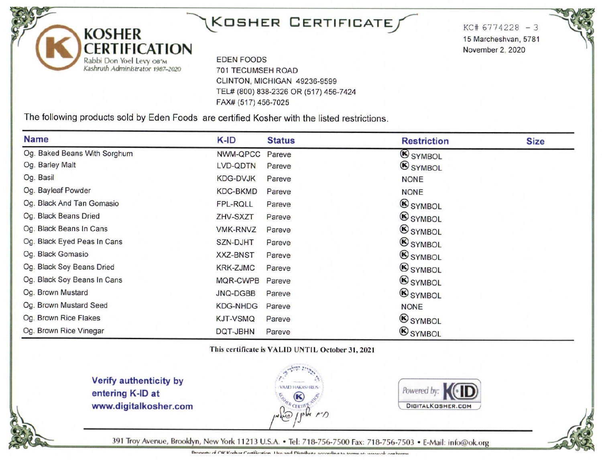### $K$ OSHER CERTIFICATE $f$

 $KCH 6774228 - 3$ 15 Marcheshvan, 5781 November 2, 2020

**EDEN FOODS 701 TECUMSEH ROAD** CLINTON, MICHIGAN 49236-9599 TEL# (800) 838-2326 OR (517) 456-7424 FAX# (517) 456-7025

The following products sold by Eden Foods are certified Kosher with the listed restrictions.

| <b>Name</b>                  | K-ID            | <b>Status</b> | <b>Restriction</b> | <b>Size</b> |
|------------------------------|-----------------|---------------|--------------------|-------------|
| Og. Baked Beans With Sorghum | NWM-QPCC        | Pareve        | SYMBOL             |             |
| Og. Barley Malt              | LVD-QDTN        | Pareve        | <b>SYMBOL</b>      |             |
| Og. Basil                    | <b>KDG-DVJK</b> | Pareve        | <b>NONE</b>        |             |
| Og. Bayleaf Powder           | <b>KDC-BKMD</b> | Pareve        | <b>NONE</b>        |             |
| Og. Black And Tan Gomasio    | FPL-RQLL        | Pareve        | <b>B</b> SYMBOL    |             |
| Og. Black Beans Dried        | ZHV-SXZT        | Pareve        | <b>SYMBOL</b>      |             |
| Og. Black Beans In Cans      | <b>VMK-RNVZ</b> | Pareve        | <b>SYMBOL</b>      |             |
| Og. Black Eyed Peas In Cans  | <b>SZN-DJHT</b> | Pareve        | <b>SYMBOL</b>      |             |
| Og. Black Gomasio            | <b>XXZ-BNST</b> | Pareve        | <b>SYMBOL</b>      |             |
| Og. Black Soy Beans Dried    | <b>KRK-ZJMC</b> | Pareve        | <b>B</b> SYMBOL    |             |
| Og. Black Soy Beans In Cans  | MQR-CWPB        | Pareve        | <b>B</b> SYMBOL    |             |
| Og. Brown Mustard            | JNQ-DGBB        | Pareve        | <b>B</b> SYMBOL    |             |
| Og. Brown Mustard Seed       | <b>KDG-NHDG</b> | Pareve        | <b>NONE</b>        |             |
| Og. Brown Rice Flakes        | <b>KJT-VSMQ</b> | Pareve        | <b>SYMBOL</b>      |             |
| Og. Brown Rice Vinegar       | DQT-JBHN        | Pareve        | <b>SYMBOL</b>      |             |

This certificate is VALID UNTIL October 31, 2021

Verify authenticity by entering K-ID at www.digitalkosher.com

**KOSHER** 

CERTIFICATION

Rabbi Don Yoel Levy OB"M Kashruth Administrator 1987-2020





391 Troy Avenue, Brooklyn, New York 11213 U.S.A. . Tel: 718-756-7500 Fax: 718-756-7503 . E-Mail: info@ok.org

Property of OK Kosher Certification. Her and Distribute according to terms at www.ok.org/terms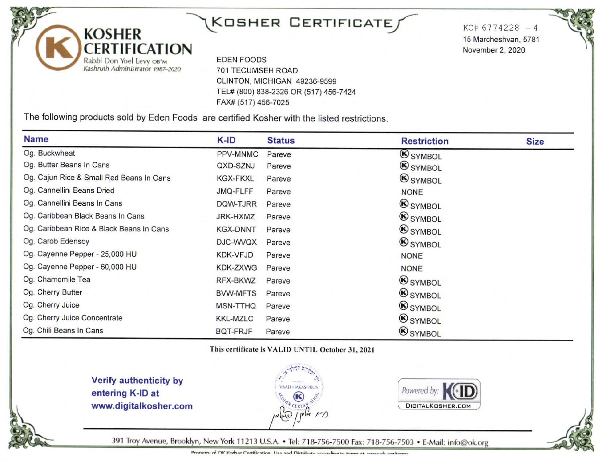### $K$ OSHER CERTIFICATE $f$

**EDEN FOODS** 701 TECUMSEH ROAD CLINTON, MICHIGAN 49236-9599 TEL# (800) 838-2326 OR (517) 456-7424 FAX# (517) 456-7025

The following products sold by Eden Foods are certified Kosher with the listed restrictions.

| <b>Name</b>                              | K-ID            | <b>Status</b> | <b>Restriction</b> | <b>Size</b> |
|------------------------------------------|-----------------|---------------|--------------------|-------------|
| Og. Buckwheat                            | <b>PPV-MNMC</b> | Pareve        | <b>SYMBOL</b>      |             |
| Og. Butter Beans In Cans                 | QXD-SZNJ        | Pareve        | <b>B</b> SYMBOL    |             |
| Og. Cajun Rice & Small Red Beans In Cans | <b>KGX-FKXL</b> | Pareve        | <b>B</b> SYMBOL    |             |
| Og. Cannellini Beans Dried               | JMQ-FLFF        | Pareve        | <b>NONE</b>        |             |
| Og. Cannellini Beans In Cans             | DQW-TJRR        | Pareve        | <b>B</b> SYMBOL    |             |
| Og. Caribbean Black Beans In Cans        | <b>JRK-HXMZ</b> | Pareve        | <b>SYMBOL</b>      |             |
| Og. Caribbean Rice & Black Beans In Cans | <b>KGX-DNNT</b> | Pareve        | <b>SYMBOL</b>      |             |
| Og. Carob Edensoy                        | DJC-WVQX        | Pareve        | <b>B</b> SYMBOL    |             |
| Og. Cayenne Pepper - 25,000 HU           | <b>KDK-VFJD</b> | Pareve        | <b>NONE</b>        |             |
| Og. Cayenne Pepper - 60,000 HU           | <b>KDK-ZXWG</b> | Pareve        | <b>NONE</b>        |             |
| Og. Chamomile Tea                        | RFX-BKWZ        | Pareve        | <b>SYMBOL</b>      |             |
| Og. Cherry Butter                        | <b>BVW-MFTS</b> | Pareve        | <b>B</b> SYMBOL    |             |
| Og. Cherry Juice                         | <b>MSN-TTHQ</b> | Pareve        | <b>SYMBOL</b>      |             |
| Og. Cherry Juice Concentrate             | <b>KKL-MZLC</b> | Pareve        | <b>SYMBOL</b>      |             |
| Og. Chili Beans In Cans                  | <b>BQT-FRJF</b> | Pareve        | <b>SYMBOL</b>      |             |

This certificate is VALID UNTIL October 31, 2021

Verify authenticity by entering K-ID at www.digitalkosher.com

**KOSHER** 

Rabbi Don Yoel Levy OB"M Kashruth Administrator 1987-2020

**ERTIFICATION** 





 $KC#6774228 - 4$ 

15 Marcheshvan, 5781

November 2, 2020

391 Troy Avenue, Brooklyn, New York 11213 U.S.A. . Tel: 718-756-7500 Fax: 718-756-7503 . E-Mail: info@ok.org

Pronorty of OK Koshor Cortification. Hen and Distributo according to torres at www.ck orghanse